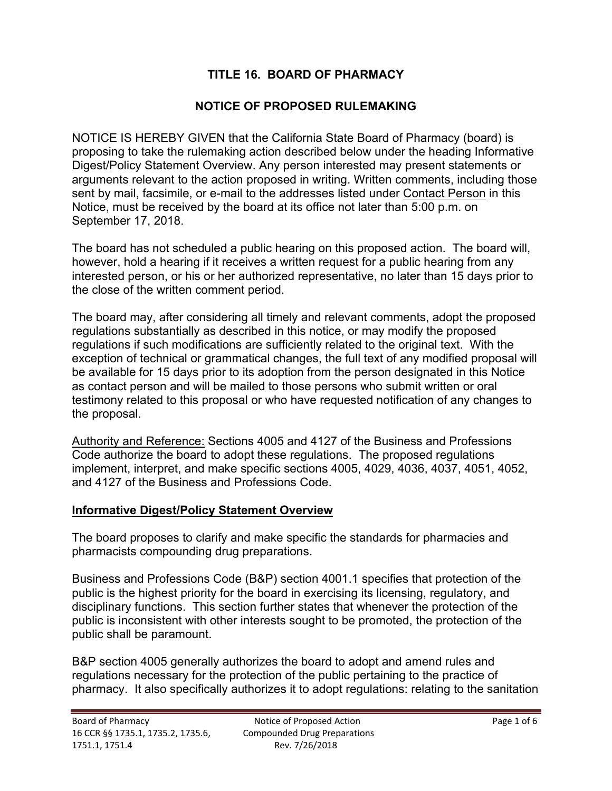# **TITLE 16. BOARD OF PHARMACY**

## **NOTICE OF PROPOSED RULEMAKING**

NOTICE IS HEREBY GIVEN that the California State Board of Pharmacy (board) is proposing to take the rulemaking action described below under the heading Informative Digest/Policy Statement Overview. Any person interested may present statements or arguments relevant to the action proposed in writing. Written comments, including those sent by mail, facsimile, or e-mail to the addresses listed under Contact Person in this Notice, must be received by the board at its office not later than 5:00 p.m. on September 17, 2018.

The board has not scheduled a public hearing on this proposed action. The board will, however, hold a hearing if it receives a written request for a public hearing from any interested person, or his or her authorized representative, no later than 15 days prior to the close of the written comment period.

The board may, after considering all timely and relevant comments, adopt the proposed regulations substantially as described in this notice, or may modify the proposed regulations if such modifications are sufficiently related to the original text. With the exception of technical or grammatical changes, the full text of any modified proposal will be available for 15 days prior to its adoption from the person designated in this Notice as contact person and will be mailed to those persons who submit written or oral testimony related to this proposal or who have requested notification of any changes to the proposal.

Authority and Reference: Sections 4005 and 4127 of the Business and Professions Code authorize the board to adopt these regulations. The proposed regulations implement, interpret, and make specific sections 4005, 4029, 4036, 4037, 4051, 4052, and 4127 of the Business and Professions Code.

### **Informative Digest/Policy Statement Overview**

The board proposes to clarify and make specific the standards for pharmacies and pharmacists compounding drug preparations.

Business and Professions Code (B&P) section 4001.1 specifies that protection of the public is the highest priority for the board in exercising its licensing, regulatory, and disciplinary functions. This section further states that whenever the protection of the public is inconsistent with other interests sought to be promoted, the protection of the public shall be paramount.

B&P section 4005 generally authorizes the board to adopt and amend rules and regulations necessary for the protection of the public pertaining to the practice of pharmacy. It also specifically authorizes it to adopt regulations: relating to the sanitation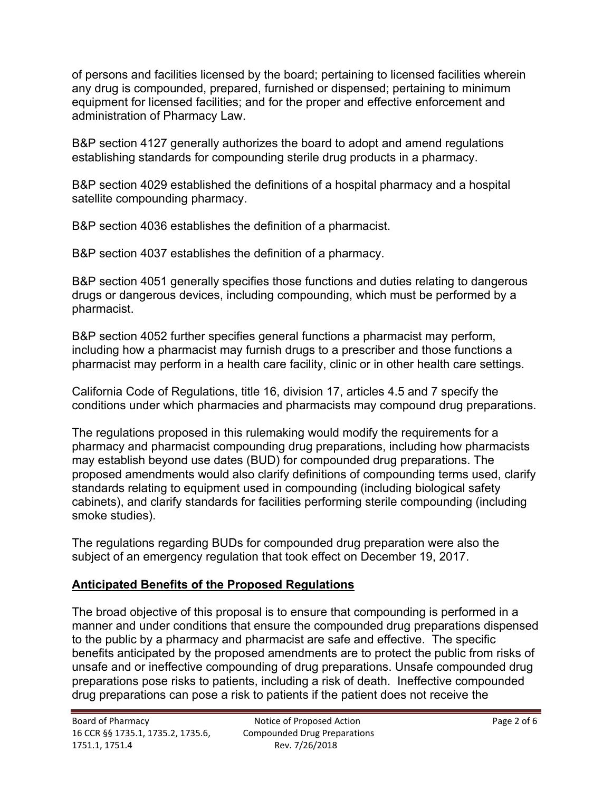of persons and facilities licensed by the board; pertaining to licensed facilities wherein any drug is compounded, prepared, furnished or dispensed; pertaining to minimum equipment for licensed facilities; and for the proper and effective enforcement and administration of Pharmacy Law.

B&P section 4127 generally authorizes the board to adopt and amend regulations establishing standards for compounding sterile drug products in a pharmacy.

B&P section 4029 established the definitions of a hospital pharmacy and a hospital satellite compounding pharmacy.

B&P section 4036 establishes the definition of a pharmacist.

B&P section 4037 establishes the definition of a pharmacy.

B&P section 4051 generally specifies those functions and duties relating to dangerous drugs or dangerous devices, including compounding, which must be performed by a pharmacist.

B&P section 4052 further specifies general functions a pharmacist may perform, including how a pharmacist may furnish drugs to a prescriber and those functions a pharmacist may perform in a health care facility, clinic or in other health care settings.

California Code of Regulations, title 16, division 17, articles 4.5 and 7 specify the conditions under which pharmacies and pharmacists may compound drug preparations.

The regulations proposed in this rulemaking would modify the requirements for a pharmacy and pharmacist compounding drug preparations, including how pharmacists may establish beyond use dates (BUD) for compounded drug preparations. The proposed amendments would also clarify definitions of compounding terms used, clarify standards relating to equipment used in compounding (including biological safety cabinets), and clarify standards for facilities performing sterile compounding (including smoke studies).

The regulations regarding BUDs for compounded drug preparation were also the subject of an emergency regulation that took effect on December 19, 2017.

# **Anticipated Benefits of the Proposed Regulations**

The broad objective of this proposal is to ensure that compounding is performed in a manner and under conditions that ensure the compounded drug preparations dispensed to the public by a pharmacy and pharmacist are safe and effective. The specific benefits anticipated by the proposed amendments are to protect the public from risks of unsafe and or ineffective compounding of drug preparations. Unsafe compounded drug preparations pose risks to patients, including a risk of death. Ineffective compounded drug preparations can pose a risk to patients if the patient does not receive the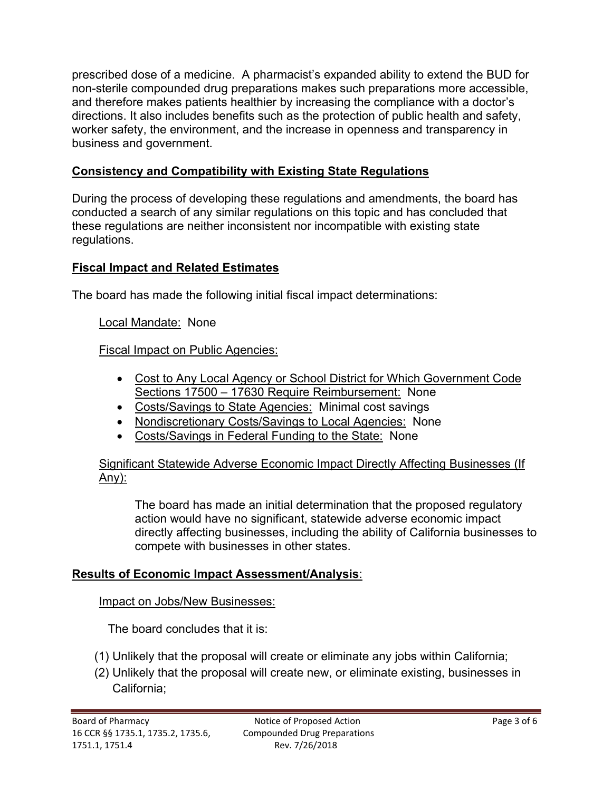prescribed dose of a medicine. A pharmacist's expanded ability to extend the BUD for non-sterile compounded drug preparations makes such preparations more accessible, and therefore makes patients healthier by increasing the compliance with a doctor's directions. It also includes benefits such as the protection of public health and safety, worker safety, the environment, and the increase in openness and transparency in business and government.

## **Consistency and Compatibility with Existing State Regulations**

During the process of developing these regulations and amendments, the board has conducted a search of any similar regulations on this topic and has concluded that these regulations are neither inconsistent nor incompatible with existing state regulations.

## **Fiscal Impact and Related Estimates**

The board has made the following initial fiscal impact determinations:

Local Mandate: None

Fiscal Impact on Public Agencies:

- Cost to Any Local Agency or School District for Which Government Code Sections 17500 – 17630 Require Reimbursement: None
- Costs/Savings to State Agencies: Minimal cost savings
- Nondiscretionary Costs/Savings to Local Agencies: None
- Costs/Savings in Federal Funding to the State: None

Significant Statewide Adverse Economic Impact Directly Affecting Businesses (If Any):

The board has made an initial determination that the proposed regulatory action would have no significant, statewide adverse economic impact directly affecting businesses, including the ability of California businesses to compete with businesses in other states.

### **Results of Economic Impact Assessment/Analysis**:

Impact on Jobs/New Businesses: The board concludes that it is:

- (1) Unlikely that the proposal will create or eliminate any jobs within California;
- (2) Unlikely that the proposal will create new, or eliminate existing, businesses in California;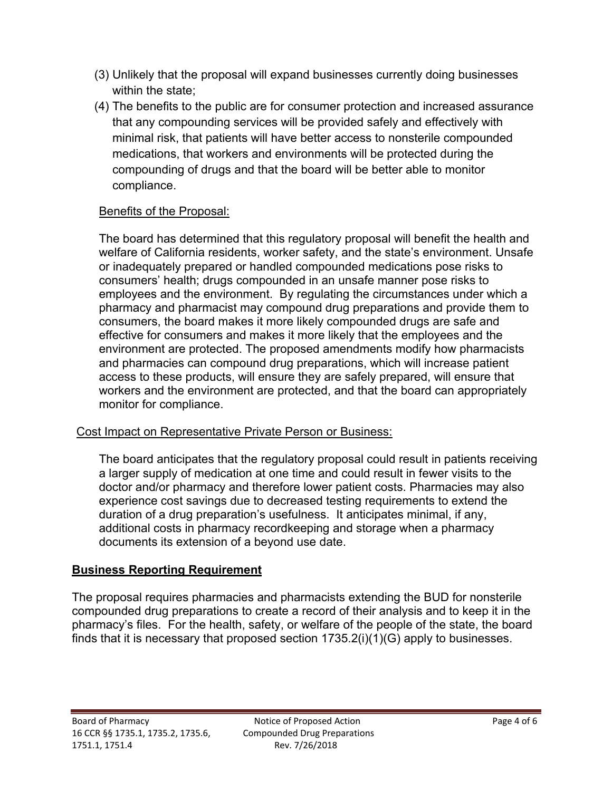- (3) Unlikely that the proposal will expand businesses currently doing businesses within the state;
- (4) The benefits to the public are for consumer protection and increased assurance that any compounding services will be provided safely and effectively with minimal risk, that patients will have better access to nonsterile compounded medications, that workers and environments will be protected during the compounding of drugs and that the board will be better able to monitor compliance.

## Benefits of the Proposal:

The board has determined that this regulatory proposal will benefit the health and welfare of California residents, worker safety, and the state's environment. Unsafe or inadequately prepared or handled compounded medications pose risks to consumers' health; drugs compounded in an unsafe manner pose risks to employees and the environment. By regulating the circumstances under which a pharmacy and pharmacist may compound drug preparations and provide them to consumers, the board makes it more likely compounded drugs are safe and effective for consumers and makes it more likely that the employees and the environment are protected. The proposed amendments modify how pharmacists and pharmacies can compound drug preparations, which will increase patient access to these products, will ensure they are safely prepared, will ensure that workers and the environment are protected, and that the board can appropriately monitor for compliance.

### Cost Impact on Representative Private Person or Business:

The board anticipates that the regulatory proposal could result in patients receiving a larger supply of medication at one time and could result in fewer visits to the doctor and/or pharmacy and therefore lower patient costs. Pharmacies may also experience cost savings due to decreased testing requirements to extend the duration of a drug preparation's usefulness. It anticipates minimal, if any, additional costs in pharmacy recordkeeping and storage when a pharmacy documents its extension of a beyond use date.

## **Business Reporting Requirement**

The proposal requires pharmacies and pharmacists extending the BUD for nonsterile compounded drug preparations to create a record of their analysis and to keep it in the pharmacy's files. For the health, safety, or welfare of the people of the state, the board finds that it is necessary that proposed section 1735.2(i)(1)(G) apply to businesses.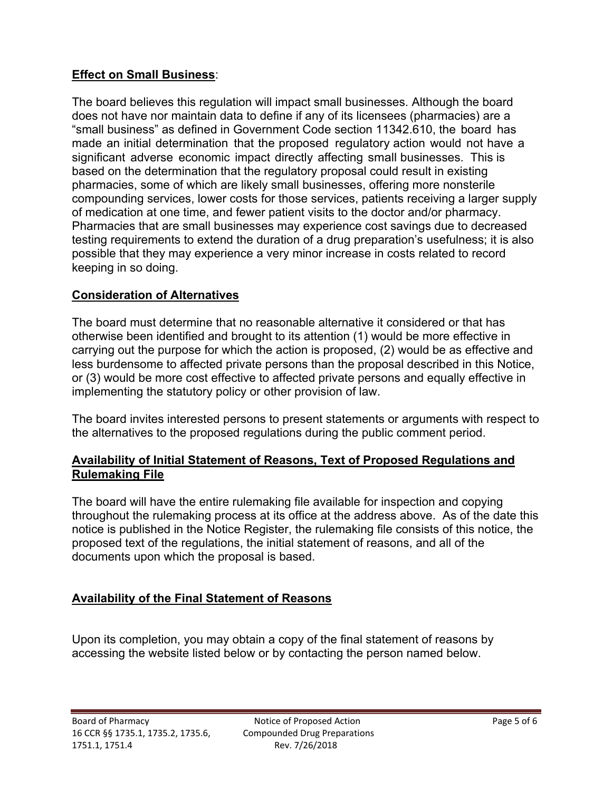## **Effect on Small Business**:

The board believes this regulation will impact small businesses. Although the board does not have nor maintain data to define if any of its licensees (pharmacies) are a "small business" as defined in Government Code section 11342.610, the board has made an initial determination that the proposed regulatory action would not have a significant adverse economic impact directly affecting small businesses. This is based on the determination that the regulatory proposal could result in existing pharmacies, some of which are likely small businesses, offering more nonsterile compounding services, lower costs for those services, patients receiving a larger supply of medication at one time, and fewer patient visits to the doctor and/or pharmacy. Pharmacies that are small businesses may experience cost savings due to decreased testing requirements to extend the duration of a drug preparation's usefulness; it is also possible that they may experience a very minor increase in costs related to record keeping in so doing.

## **Consideration of Alternatives**

The board must determine that no reasonable alternative it considered or that has otherwise been identified and brought to its attention (1) would be more effective in carrying out the purpose for which the action is proposed, (2) would be as effective and less burdensome to affected private persons than the proposal described in this Notice, or (3) would be more cost effective to affected private persons and equally effective in implementing the statutory policy or other provision of law.

The board invites interested persons to present statements or arguments with respect to the alternatives to the proposed regulations during the public comment period.

### **Availability of Initial Statement of Reasons, Text of Proposed Regulations and Rulemaking File**

The board will have the entire rulemaking file available for inspection and copying throughout the rulemaking process at its office at the address above. As of the date this notice is published in the Notice Register, the rulemaking file consists of this notice, the proposed text of the regulations, the initial statement of reasons, and all of the documents upon which the proposal is based.

## **Availability of the Final Statement of Reasons**

Upon its completion, you may obtain a copy of the final statement of reasons by accessing the website listed below or by contacting the person named below.